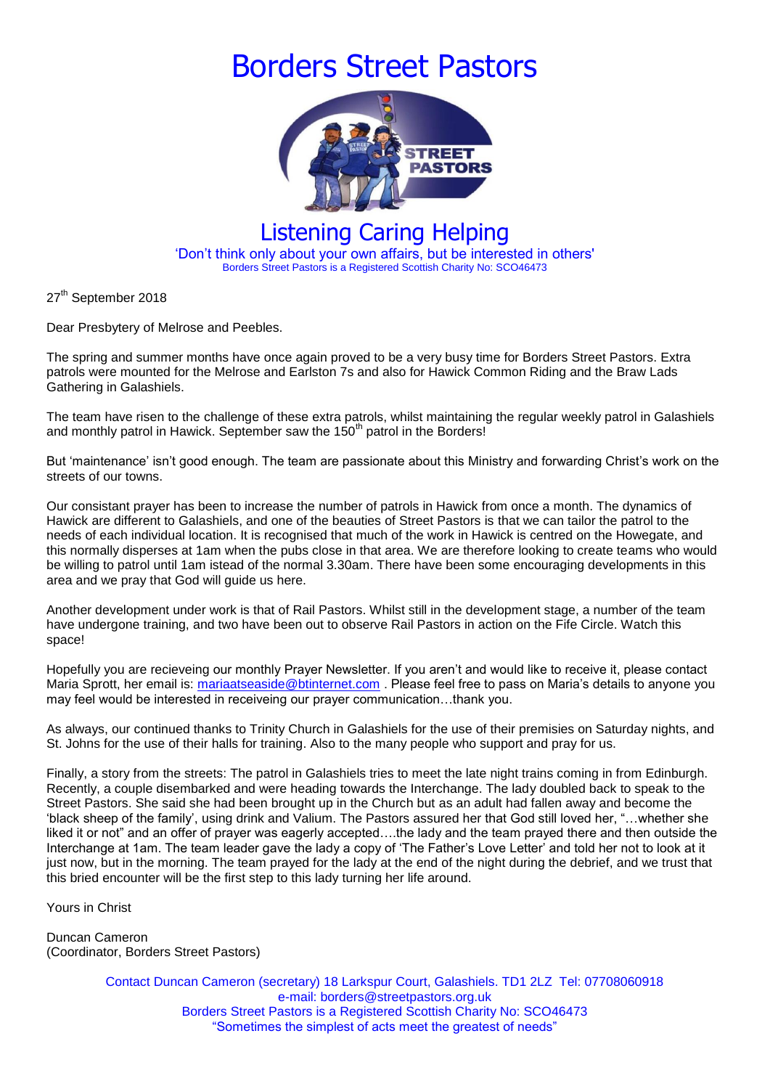## Borders Street Pastors



## Listening Caring Helping 'Don't think only about your own affairs, but be interested in others' Borders Street Pastors is a Registered Scottish Charity No: SCO46473

27<sup>th</sup> September 2018

Dear Presbytery of Melrose and Peebles.

The spring and summer months have once again proved to be a very busy time for Borders Street Pastors. Extra patrols were mounted for the Melrose and Earlston 7s and also for Hawick Common Riding and the Braw Lads Gathering in Galashiels.

The team have risen to the challenge of these extra patrols, whilst maintaining the regular weekly patrol in Galashiels and monthly patrol in Hawick. September saw the  $150<sup>th</sup>$  patrol in the Borders!

But 'maintenance' isn't good enough. The team are passionate about this Ministry and forwarding Christ's work on the streets of our towns.

Our consistant prayer has been to increase the number of patrols in Hawick from once a month. The dynamics of Hawick are different to Galashiels, and one of the beauties of Street Pastors is that we can tailor the patrol to the needs of each individual location. It is recognised that much of the work in Hawick is centred on the Howegate, and this normally disperses at 1am when the pubs close in that area. We are therefore looking to create teams who would be willing to patrol until 1am istead of the normal 3.30am. There have been some encouraging developments in this area and we pray that God will guide us here.

Another development under work is that of Rail Pastors. Whilst still in the development stage, a number of the team have undergone training, and two have been out to observe Rail Pastors in action on the Fife Circle. Watch this space!

Hopefully you are recieveing our monthly Prayer Newsletter. If you aren't and would like to receive it, please contact Maria Sprott, her email is: [mariaatseaside@btinternet.com](mailto:mariaatseaside@btinternet.com) . Please feel free to pass on Maria's details to anyone you may feel would be interested in receiveing our prayer communication…thank you.

As always, our continued thanks to Trinity Church in Galashiels for the use of their premisies on Saturday nights, and St. Johns for the use of their halls for training. Also to the many people who support and pray for us.

Finally, a story from the streets: The patrol in Galashiels tries to meet the late night trains coming in from Edinburgh. Recently, a couple disembarked and were heading towards the Interchange. The lady doubled back to speak to the Street Pastors. She said she had been brought up in the Church but as an adult had fallen away and become the 'black sheep of the family', using drink and Valium. The Pastors assured her that God still loved her, "…whether she liked it or not" and an offer of prayer was eagerly accepted….the lady and the team prayed there and then outside the Interchange at 1am. The team leader gave the lady a copy of 'The Father's Love Letter' and told her not to look at it just now, but in the morning. The team prayed for the lady at the end of the night during the debrief, and we trust that this bried encounter will be the first step to this lady turning her life around.

Yours in Christ

Duncan Cameron (Coordinator, Borders Street Pastors)

> Contact Duncan Cameron (secretary) 18 Larkspur Court, Galashiels. TD1 2LZ Tel: 07708060918 e-mail: borders@streetpastors.org.uk Borders Street Pastors is a Registered Scottish Charity No: SCO46473 "Sometimes the simplest of acts meet the greatest of needs"